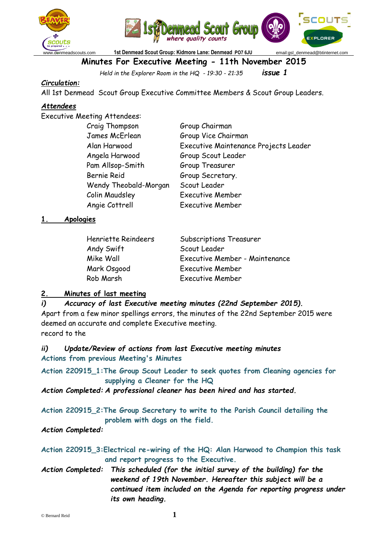



www.denmeadscouts.com **1st Denmead Scout Group: Kidmore Lane: Denmead** :**PO7 6JU** email:gsl\_denmead@btinternet.com

### **Minutes For Executive Meeting - 11th November 2015**

*Held in the Explorer Room in the HQ - 19:30 - 21:35 issue 1*

### *Circulation:*

All 1st Denmead Scout Group Executive Committee Members & Scout Group Leaders.

### *Attendees*

Executive Meeting Attendees:

| Group Chairman                        |
|---------------------------------------|
| Group Vice Chairman                   |
| Executive Maintenance Projects Leader |
| Group Scout Leader                    |
| Group Treasurer                       |
| Group Secretary.                      |
| Scout Leader                          |
| <b>Executive Member</b>               |
| <b>Executive Member</b>               |
|                                       |

#### **1. Apologies**

| Henriette Reindeers | <b>Subscriptions Treasurer</b> |
|---------------------|--------------------------------|
| Andy Swift          | Scout Leader                   |
| Mike Wall           | Executive Member - Maintenance |
| Mark Osgood         | <b>Executive Member</b>        |
| Rob Marsh           | <b>Executive Member</b>        |

#### **2. Minutes of last meeting**

*i) Accuracy of last Executive meeting minutes (22nd September 2015).* Apart from a few minor spellings errors, the minutes of the 22nd September 2015 were deemed an accurate and complete Executive meeting. record to the

*ii) Update/Review of actions from last Executive meeting minutes* **Actions from previous Meeting's Minutes**

**Action 220915\_1:The Group Scout Leader to seek quotes from Cleaning agencies for supplying a Cleaner for the HQ**

*Action Completed: A professional cleaner has been hired and has started.*

**Action 220915\_2:The Group Secretary to write to the Parish Council detailing the problem with dogs on the field.**

*Action Completed:*

**Action 220915\_3:Electrical re-wiring of the HQ: Alan Harwood to Champion this task and report progress to the Executive.**

*Action Completed: This scheduled (for the initial survey of the building) for the weekend of 19th November. Hereafter this subject will be a continued item included on the Agenda for reporting progress under its own heading.*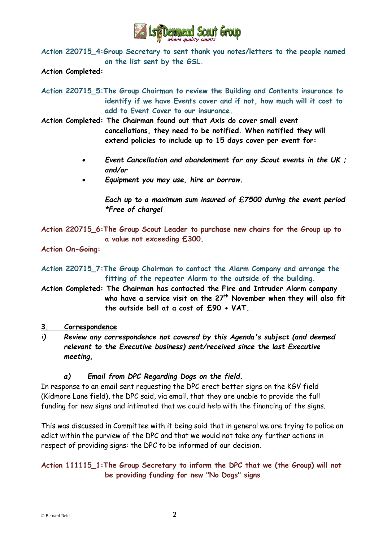

**Action 220715\_4:Group Secretary to sent thank you notes/letters to the people named on the list sent by the GSL.**

**Action Completed:**

**Action 220715\_5:The Group Chairman to review the Building and Contents insurance to identify if we have Events cover and if not, how much will it cost to add to Event Cover to our insurance.**

**Action Completed: The Chairman found out that Axis do cover small event cancellations, they need to be notified. When notified they will extend policies to include up to 15 days cover per event for:**

- *Event Cancellation and abandonment for any Scout events in the UK ; and/or*
- *Equipment you may use, hire or borrow.*

*Each up to a maximum sum insured of £7500 during the event period \*Free of charge!*

**Action 220715\_6:The Group Scout Leader to purchase new chairs for the Group up to a value not exceeding £300.**

**Action On-Going:**

**Action 220715\_7:The Group Chairman to contact the Alarm Company and arrange the fitting of the repeater Alarm to the outside of the building.**

- **Action Completed: The Chairman has contacted the Fire and Intruder Alarm company who have a service visit on the 27th November when they will also fit the outside bell at a cost of £90 + VAT.**
- **3. Correspondence**
- *i) Review any correspondence not covered by this Agenda's subject (and deemed relevant to the Executive business) sent/received since the last Executive meeting,*

### *a) Email from DPC Regarding Dogs on the field.*

In response to an email sent requesting the DPC erect better signs on the KGV field (Kidmore Lane field), the DPC said, via email, that they are unable to provide the full funding for new signs and intimated that we could help with the financing of the signs.

This was discussed in Committee with it being said that in general we are trying to police an edict within the purview of the DPC and that we would not take any further actions in respect of providing signs: the DPC to be informed of our decision.

### **Action 111115\_1:The Group Secretary to inform the DPC that we (the Group) will not be providing funding for new "No Dogs" signs**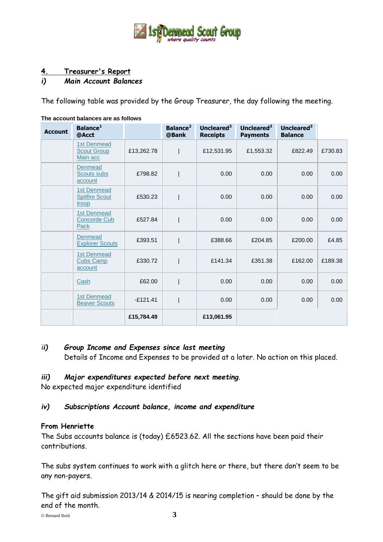

### **4. Treasurer's Report**

### *i) Main Account Balances*

The following table was provided by the Group Treasurer, the day following the meeting.

| <b>Account</b> | Balance <sup>1</sup><br>@Acct                        |            | Balance <sup>2</sup><br>@Bank | Uncleared $3$<br><b>Receipts</b> | Uncleared $3$<br><b>Payments</b> | Uncleared <sup>3</sup><br><b>Balance</b> |         |
|----------------|------------------------------------------------------|------------|-------------------------------|----------------------------------|----------------------------------|------------------------------------------|---------|
|                | <b>1st Denmead</b><br><b>Scout Group</b><br>Main acc | £13,262.78 |                               | £12,531.95                       | £1,553.32                        | £822.49                                  | £730.83 |
|                | <b>Denmead</b><br>Scouts subs<br>account             | £798.82    |                               | 0.00                             | 0.00                             | 0.00                                     | 0.00    |
|                | <b>1st Denmead</b><br><b>Spitfire Scout</b><br>troop | £530.23    |                               | 0.00                             | 0.00                             | 0.00                                     | 0.00    |
|                | <b>1st Denmead</b><br><b>Concorde Cub</b><br>Pack    | £527.84    |                               | 0.00                             | 0.00                             | 0.00                                     | 0.00    |
|                | Denmead<br><b>Explorer Scouts</b>                    | £393.51    |                               | £388.66                          | £204.85                          | £200.00                                  | £4.85   |
|                | <b>1st Denmead</b><br><b>Cubs Camp</b><br>account    | £330.72    |                               | £141.34                          | £351.38                          | £162.00                                  | £189.38 |
|                | Cash                                                 | £62.00     |                               | 0.00                             | 0.00                             | 0.00                                     | 0.00    |
|                | <b>1st Denmead</b><br><b>Beaver Scouts</b>           | $-£121.41$ |                               | 0.00                             | 0.00                             | 0.00                                     | 0.00    |
|                |                                                      | £15,784.49 |                               | £13,061.95                       |                                  |                                          |         |

#### **The account balances are as follows**

#### *ii) Group Income and Expenses since last meeting*

Details of Income and Expenses to be provided at a later. No action on this placed.

#### *iii) Major expenditures expected before next meeting*.

No expected major expenditure identified

#### *iv) Subscriptions Account balance, income and expenditure*

#### **From Henriette**

The Subs accounts balance is (today) £6523.62. All the sections have been paid their contributions.

The subs system continues to work with a glitch here or there, but there don't seem to be any non-payers.

The gift aid submission 2013/14 & 2014/15 is nearing completion – should be done by the end of the month.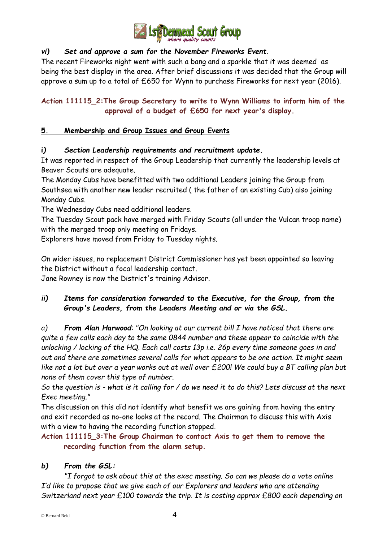

### *vi) Set and approve a sum for the November Fireworks Event.*

The recent Fireworks night went with such a bang and a sparkle that it was deemed as being the best display in the area. After brief discussions it was decided that the Group will approve a sum up to a total of £650 for Wynn to purchase Fireworks for next year (2016).

### **Action 111115\_2:The Group Secretary to write to Wynn Williams to inform him of the approval of a budget of £650 for next year's display.**

### **5. Membership and Group Issues and Group Events**

### **i***) Section Leadership requirements and recruitment update.*

It was reported in respect of the Group Leadership that currently the leadership levels at Beaver Scouts are adequate.

The Monday Cubs have benefitted with two additional Leaders joining the Group from Southsea with another new leader recruited ( the father of an existing Cub) also joining Monday Cubs.

The Wednesday Cubs need additional leaders.

The Tuesday Scout pack have merged with Friday Scouts (all under the Vulcan troop name) with the merged troop only meeting on Fridays.

Explorers have moved from Friday to Tuesday nights.

On wider issues, no replacement District Commissioner has yet been appointed so leaving the District without a focal leadership contact.

Jane Rowney is now the District's training Advisor.

### *ii) Items for consideration forwarded to the Executive, for the Group, from the Group's Leaders, from the Leaders Meeting and or via the GSL.*

*a) From Alan Harwood: "On looking at our current bill I have noticed that there are quite a few calls each day to the same 0844 number and these appear to coincide with the unlocking / locking of the HQ. Each call costs 13p i.e. 26p every time someone goes in and out and there are sometimes several calls for what appears to be one action. It might seem like not a lot but over a year works out at well over £200! We could buy a BT calling plan but none of them cover this type of number.*

*So the question is - what is it calling for / do we need it to do this? Lets discuss at the next Exec meeting."*

The discussion on this did not identify what benefit we are gaining from having the entry and exit recorded as no-one looks at the record. The Chairman to discuss this with Axis with a view to having the recording function stopped.

**Action 111115\_3:The Group Chairman to contact Axis to get them to remove the recording function from the alarm setup.**

### *b) From the GSL:*

*"I forgot to ask about this at the exec meeting. So can we please do a vote online I'd like to propose that we give each of our Explorers and leaders who are attending Switzerland next year £100 towards the trip. It is costing approx £800 each depending on*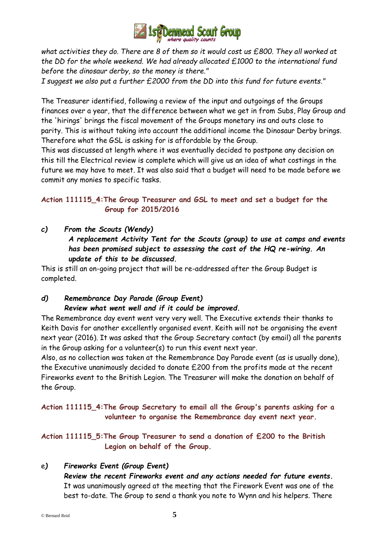

*what activities they do. There are 8 of them so it would cost us £800. They all worked at the DD for the whole weekend. We had already allocated £1000 to the international fund before the dinosaur derby, so the money is there."*

*I suggest we also put a further £2000 from the DD into this fund for future events."*

The Treasurer identified, following a review of the input and outgoings of the Groups finances over a year, that the difference between what we get in from Subs, Play Group and the 'hirings' brings the fiscal movement of the Groups monetary ins and outs close to parity. This is without taking into account the additional income the Dinosaur Derby brings. Therefore what the GSL is asking for is affordable by the Group.

This was discussed at length where it was eventually decided to postpone any decision on this till the Electrical review is complete which will give us an idea of what costings in the future we may have to meet. It was also said that a budget will need to be made before we commit any monies to specific tasks.

### **Action 111115\_4:The Group Treasurer and GSL to meet and set a budget for the Group for 2015/2016**

*c) From the Scouts (Wendy) A replacement Activity Tent for the Scouts (group) to use at camps and events has been promised subject to assessing the cost of the HQ re-wiring. An update of this to be discussed.*

This is still an on-going project that will be re-addressed after the Group Budget is completed.

## *d) Remembrance Day Parade (Group Event)*

### *Review what went well and if it could be improved.*

The Remembrance day event went very very well. The Executive extends their thanks to Keith Davis for another excellently organised event. Keith will not be organising the event next year (2016). It was asked that the Group Secretary contact (by email) all the parents in the Group asking for a volunteer(s) to run this event next year.

Also, as no collection was taken at the Remembrance Day Parade event (as is usually done), the Executive unanimously decided to donate £200 from the profits made at the recent Fireworks event to the British Legion. The Treasurer will make the donation on behalf of the Group.

**Action 111115\_4:The Group Secretary to email all the Group's parents asking for a volunteer to organise the Remembrance day event next year.**

**Action 111115\_5:The Group Treasurer to send a donation of £200 to the British Legion on behalf of the Group.**

### e*) Fireworks Event (Group Event)*

*Review the recent Fireworks event and any actions needed for future events.* It was unanimously agreed at the meeting that the Firework Event was one of the best to-date. The Group to send a thank you note to Wynn and his helpers. There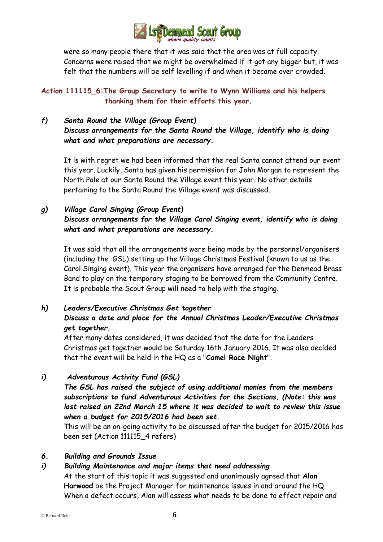

were so many people there that it was said that the area was at full capacity. Concerns were raised that we might be overwhelmed if it got any bigger but, it was felt that the numbers will be self levelling if and when it became over crowded.

**Action 111115\_6:The Group Secretary to write to Wynn Williams and his helpers thanking them for their efforts this year.**

### *f) Santa Round the Village (Group Event) Discuss arrangements for the Santa Round the Village, identify who is doing what and what preparations are necessary.*

It is with regret we had been informed that the real Santa cannot attend our event this year. Luckily, Santa has given his permission for John Morgan to represent the North Pole at our Santa Round the Village event this year. No other details pertaining to the Santa Round the Village event was discussed.

### *g) Village Carol Singing (Group Event) Discuss arrangements for the Village Carol Singing event, identify who is doing what and what preparations are necessary***.**

It was said that all the arrangements were being made by the personnel/organisers (including the GSL) setting up the Village Christmas Festival (known to us as the Carol Singing event). This year the organisers have arranged for the Denmead Brass Band to play on the temporary staging to be borrowed from the Community Centre. It is probable the Scout Group will need to help with the staging.

#### *h) Leaders/Executive Christmas Get together Discuss a date and place for the Annual Christmas Leader/Executive Christmas get together.*

After many dates considered, it was decided that the date for the Leaders Christmas get together would be Saturday 16th January 2016. It was also decided that the event will be held in the HQ as a "**Camel Race Night**".

### *i) Adventurous Activity Fund (GSL)*

*The GSL has raised the subject of using additional monies from the members subscriptions to fund Adventurous Activities for the Sections. (Note: this was*  last raised on 22nd March 15 where it was decided to wait to review this issue *when a budget for 2015/2016 had been set.*

This will be an on-going activity to be discussed after the budget for 2015/2016 has been set (Action 111115\_4 refers)

### *6. Building and Grounds Issue*

## *i) Building Maintenance and major items that need addressing*

At the start of this topic it was suggested and unanimously agreed that **Alan Harwood** be the Project Manager for maintenance issues in and around the HQ. When a defect occurs, Alan will assess what needs to be done to effect repair and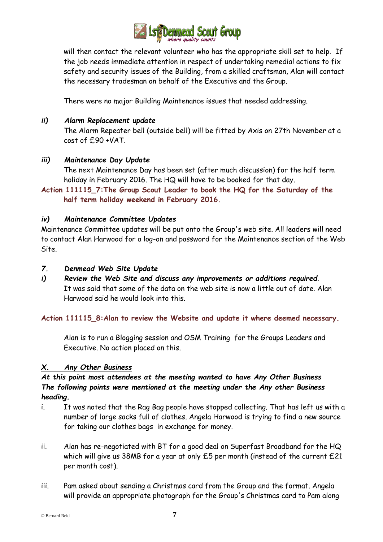

will then contact the relevant volunteer who has the appropriate skill set to help. If the job needs immediate attention in respect of undertaking remedial actions to fix safety and security issues of the Building, from a skilled craftsman, Alan will contact the necessary tradesman on behalf of the Executive and the Group.

There were no major Building Maintenance issues that needed addressing.

### *ii) Alarm Replacement update*

The Alarm Repeater bell (outside bell) will be fitted by Axis on 27th November at a cost of £90 +VAT.

### *iii) Maintenance Day Update*

The next Maintenance Day has been set (after much discussion) for the half term holiday in February 2016. The HQ will have to be booked for that day.

### **Action 111115\_7:The Group Scout Leader to book the HQ for the Saturday of the half term holiday weekend in February 2016.**

### *iv) Maintenance Committee Updates*

Maintenance Committee updates will be put onto the Group's web site. All leaders will need to contact Alan Harwood for a log-on and password for the Maintenance section of the Web Site.

#### *7. Denmead Web Site Update*

*i) Review the Web Site and discuss any improvements or additions required*. It was said that some of the data on the web site is now a little out of date. Alan Harwood said he would look into this.

#### **Action 111115\_8:Alan to review the Website and update it where deemed necessary.**

Alan is to run a Blogging session and OSM Training for the Groups Leaders and Executive. No action placed on this.

#### *X. Any Other Business*

*At this point most attendees at the meeting wanted to have Any Other Business The following points were mentioned at the meeting under the Any other Business heading.*

- i. It was noted that the Rag Bag people have stopped collecting. That has left us with a number of large sacks full of clothes. Angela Harwood is trying to find a new source for taking our clothes bags in exchange for money.
- ii. Alan has re-negotiated with BT for a good deal on Superfast Broadband for the HQ which will give us 38MB for a year at only £5 per month (instead of the current £21 per month cost).
- iii. Pam asked about sending a Christmas card from the Group and the format. Angela will provide an appropriate photograph for the Group's Christmas card to Pam along